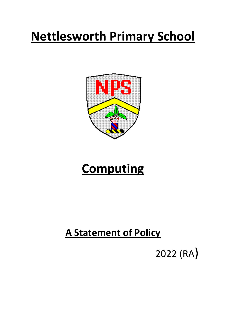# **Nettlesworth Primary School**



# **Computing**

# **A Statement of Policy**

2022 (RA)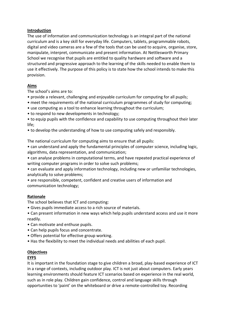### **Introduction**

The use of information and communication technology is an integral part of the national curriculum and is a key skill for everyday life. Computers, tablets, programmable robots, digital and video cameras are a few of the tools that can be used to acquire, organise, store, manipulate, interpret, communicate and present information. At Nettlesworth Primary School we recognise that pupils are entitled to quality hardware and software and a structured and progressive approach to the learning of the skills needed to enable them to use it effectively. The purpose of this policy is to state how the school intends to make this provision.

# **Aims**

The school's aims are to:

- provide a relevant, challenging and enjoyable curriculum for computing for all pupils;
- meet the requirements of the national curriculum programmes of study for computing;
- use computing as a tool to enhance learning throughout the curriculum;
- to respond to new developments in technology;
- to equip pupils with the confidence and capability to use computing throughout their later life;
- to develop the understanding of how to use computing safely and responsibly.

The national curriculum for computing aims to ensure that all pupils:

• can understand and apply the fundamental principles of computer science, including logic, algorithms, data representation, and communication;

- can analyse problems in computational terms, and have repeated practical experience of writing computer programs in order to solve such problems;
- can evaluate and apply information technology, including new or unfamiliar technologies, analytically to solve problems;
- are responsible, competent, confident and creative users of information and communication technology;

# **Rationale**

The school believes that ICT and computing:

- Gives pupils immediate access to a rich source of materials.
- Can present information in new ways which help pupils understand access and use it more readily.
- Can motivate and enthuse pupils.
- Can help pupils focus and concentrate.
- Offers potential for effective group working.
- Has the flexibility to meet the individual needs and abilities of each pupil.

#### **Objectives**

#### **EYFS**

It is important in the foundation stage to give children a broad, play-based experience of ICT in a range of contexts, including outdoor play. ICT is not just about computers. Early years learning environments should feature ICT scenarios based on experience in the real world, such as in role play. Children gain confidence, control and language skills through opportunities to 'paint' on the whiteboard or drive a remote-controlled toy. Recording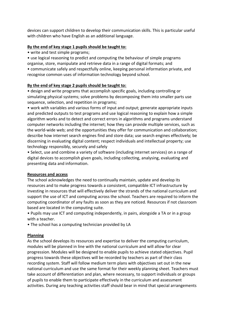devices can support children to develop their communication skills. This is particular useful with children who have English as an additional language.

### **By the end of key stage 1 pupils should be taught to:**

• write and test simple programs;

• use logical reasoning to predict and computing the behaviour of simple programs organise, store, manipulate and retrieve data in a range of digital formats; and

• communicate safely and respectfully online, keeping personal information private, and recognise common uses of information technology beyond school.

#### **By the end of key stage 2 pupils should be taught to:**

• design and write programs that accomplish specific goals, including controlling or simulating physical systems; solve problems by decomposing them into smaller parts use sequence, selection, and repetition in programs;

• work with variables and various forms of input and output; generate appropriate inputs and predicted outputs to test programs and use logical reasoning to explain how a simple algorithm works and to detect and correct errors in algorithms and programs understand computer networks including the internet; how they can provide multiple services, such as the world-wide web; and the opportunities they offer for communication and collaboration; describe how internet search engines find and store data; use search engines effectively; be discerning in evaluating digital content; respect individuals and intellectual property; use technology responsibly, securely and safely

• Select, use and combine a variety of software (including internet services) on a range of digital devices to accomplish given goals, including collecting, analysing, evaluating and presenting data and information.

#### **Resources and access**

The school acknowledges the need to continually maintain, update and develop its resources and to make progress towards a consistent, compatible ICT infrastructure by investing in resources that will effectively deliver the strands of the national curriculum and support the use of ICT and computing across the school. Teachers are required to inform the computing coordinator of any faults as soon as they are noticed. Resources if not classroom based are located in the computing suite.

• Pupils may use ICT and computing independently, in pairs, alongside a TA or in a group with a teacher.

• The school has a computing technician provided by LA

#### **Planning**

As the school develops its resources and expertise to deliver the computing curriculum, modules will be planned in line with the national curriculum and will allow for clear progression. Modules will be designed to enable pupils to achieve stated objectives. Pupil progress towards these objectives will be recorded by teachers as part of their class recording system. Staff will follow medium term plans with objectives set out in the new national curriculum and use the same format for their weekly planning sheet. Teachers must take account of differentiation and plan, where necessary, to support individuals or groups of pupils to enable them to participate effectively in the curriculum and assessment activities. During any teaching activities staff should bear in mind that special arrangements